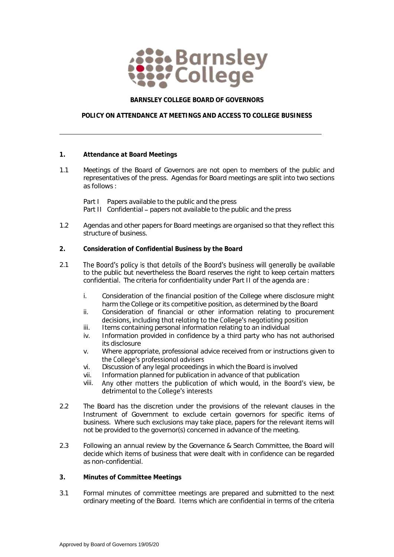

## **BARNSLEY COLLEGE BOARD OF GOVERNORS**

## **POLICY ON ATTENDANCE AT MEETINGS AND ACCESS TO COLLEGE BUSINESS**

- **1. Attendance at Board Meetings**
- 1.1 Meetings of the Board of Governors are not open to members of the public and representatives of the press. Agendas for Board meetings are split into two sections as follows :

Part I Papers available to the public and the press Part II Confidential – papers not available to the public and the press

- 1.2 Agendas and other papers for Board meetings are organised so that they reflect this structure of business.
- **2. Consideration of Confidential Business by the Board**
- 2.1 The Board's policy is that details of the Board's business will generally be available to the public but nevertheless the Board reserves the right to keep certain matters confidential. The criteria for confidentiality under Part II of the agenda are :
	- i. Consideration of the financial position of the College where disclosure might harm the College or its competitive position, as determined by the Board
	- ii. Consideration of financial or other information relating to procurement decisions, including that relating to the College's negotiating position
	- iii. Items containing personal information relating to an individual
	- iv. Information provided in confidence by a third party who has not authorised its disclosure
	- v. Where appropriate, professional advice received from or instructions given to the College's professional advisers
	- vi. Discussion of any legal proceedings in which the Board is involved
	- vii. Information planned for publication in advance of that publication
	- Any other matters the publication of which would, in the Board's view, be viii. detrimental to the College's interests
- 2.2 The Board has the discretion under the provisions of the relevant clauses in the Instrument of Government to exclude certain governors for specific items of business. Where such exclusions may take place, papers for the relevant items will not be provided to the governor(s) concerned in advance of the meeting.
- 2.3 Following an annual review by the Governance & Search Committee, the Board will decide which items of business that were dealt with in confidence can be regarded as non-confidential.
- **3. Minutes of Committee Meetings**
- 3.1 Formal minutes of committee meetings are prepared and submitted to the next ordinary meeting of the Board. Items which are confidential in terms of the criteria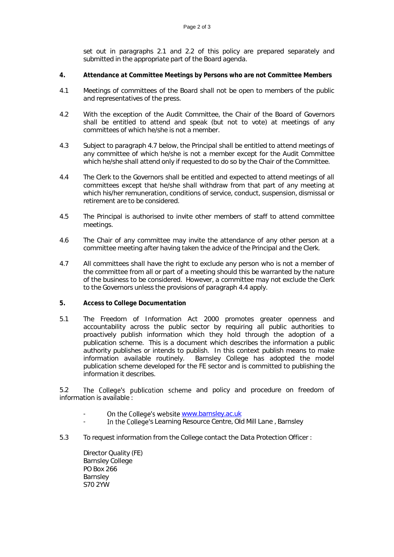set out in paragraphs 2.1 and 2.2 of this policy are prepared separately and submitted in the appropriate part of the Board agenda.

- **4. Attendance at Committee Meetings by Persons who are not Committee Members**
- 4.1 Meetings of committees of the Board shall not be open to members of the public and representatives of the press.
- 4.2 With the exception of the Audit Committee, the Chair of the Board of Governors shall be entitled to attend and speak (but not to vote) at meetings of any committees of which he/she is not a member.
- 4.3 Subject to paragraph 4.7 below, the Principal shall be entitled to attend meetings of any committee of which he/she is not a member except for the Audit Committee which he/she shall attend only if requested to do so by the Chair of the Committee.
- 4.4 The Clerk to the Governors shall be entitled and expected to attend meetings of all committees except that he/she shall withdraw from that part of any meeting at which his/her remuneration, conditions of service, conduct, suspension, dismissal or retirement are to be considered.
- 4.5 The Principal is authorised to invite other members of staff to attend committee meetings.
- 4.6 The Chair of any committee may invite the attendance of any other person at a committee meeting after having taken the advice of the Principal and the Clerk.
- 4.7 All committees shall have the right to exclude any person who is not a member of the committee from all or part of a meeting should this be warranted by the nature of the business to be considered. However, a committee may not exclude the Clerk to the Governors unless the provisions of paragraph 4.4 apply.
- **5. Access to College Documentation**
- 5.1 The Freedom of Information Act 2000 promotes greater openness and accountability across the public sector by requiring all public authorities to proactively publish information which they hold through the adoption of a publication scheme. This is a document which describes the information a public authority publishes or intends to publish. In this context publish means to make information available routinely. Barnsley College has adopted the model publication scheme developed for the FE sector and is committed to publishing the information it describes.

5.2 The College's publication scheme and policy and procedure on freedom of information is available :

- On the College's website [www.barnsley.ac.uk](http://www.barnsley.ac.uk/)
- In the College's Learning Resource Centre, Old Mill Lane, Barnsley
- 5.3 To request information from the College contact the Data Protection Officer :

Director Quality (FE) Barnsley College PO Box 266 Barnsley S70 2YW